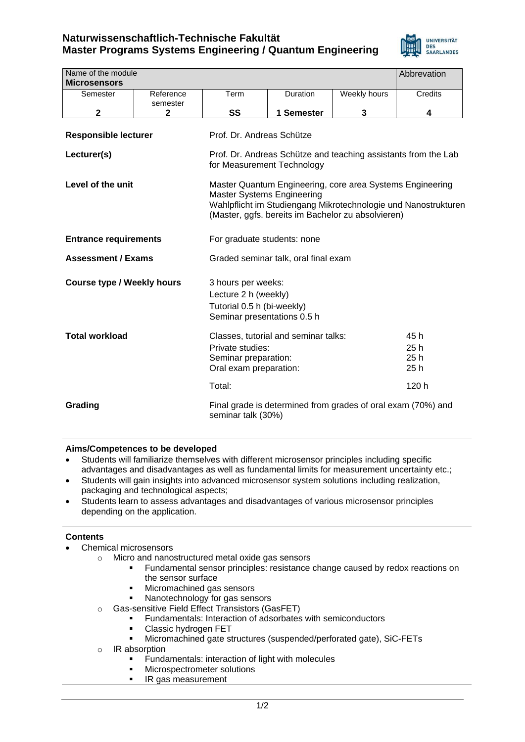# **Naturwissenschaftlich-Technische Fakultät Master Programs Systems Engineering / Quantum Engineering**



| Name of the module                |                       |                                                                                                                                                                                                                        |            |              | Abbrevation                        |
|-----------------------------------|-----------------------|------------------------------------------------------------------------------------------------------------------------------------------------------------------------------------------------------------------------|------------|--------------|------------------------------------|
| <b>Microsensors</b>               |                       |                                                                                                                                                                                                                        |            |              |                                    |
| Semester                          | Reference<br>semester | Term                                                                                                                                                                                                                   | Duration   | Weekly hours | <b>Credits</b>                     |
| $\mathbf 2$                       | $\mathbf{2}$          | SS                                                                                                                                                                                                                     | 1 Semester | 3            | 4                                  |
| <b>Responsible lecturer</b>       |                       | Prof. Dr. Andreas Schütze                                                                                                                                                                                              |            |              |                                    |
| Lecturer(s)                       |                       | Prof. Dr. Andreas Schütze and teaching assistants from the Lab<br>for Measurement Technology                                                                                                                           |            |              |                                    |
| Level of the unit                 |                       | Master Quantum Engineering, core area Systems Engineering<br><b>Master Systems Engineering</b><br>Wahlpflicht im Studiengang Mikrotechnologie und Nanostrukturen<br>(Master, ggfs. bereits im Bachelor zu absolvieren) |            |              |                                    |
| <b>Entrance requirements</b>      |                       | For graduate students: none                                                                                                                                                                                            |            |              |                                    |
| <b>Assessment / Exams</b>         |                       | Graded seminar talk, oral final exam                                                                                                                                                                                   |            |              |                                    |
| <b>Course type / Weekly hours</b> |                       | 3 hours per weeks:<br>Lecture 2 h (weekly)<br>Tutorial 0.5 h (bi-weekly)<br>Seminar presentations 0.5 h                                                                                                                |            |              |                                    |
| <b>Total workload</b>             |                       | Classes, tutorial and seminar talks:<br>Private studies:<br>Seminar preparation:<br>Oral exam preparation:<br>Total:                                                                                                   |            |              | 45 h<br>25h<br>25h<br>25h<br>120 h |
| Grading                           |                       | Final grade is determined from grades of oral exam (70%) and<br>seminar talk (30%)                                                                                                                                     |            |              |                                    |

### **Aims/Competences to be developed**

- Students will familiarize themselves with different microsensor principles including specific advantages and disadvantages as well as fundamental limits for measurement uncertainty etc.;
- Students will gain insights into advanced microsensor system solutions including realization, packaging and technological aspects;
- Students learn to assess advantages and disadvantages of various microsensor principles depending on the application.

#### **Contents**

- Chemical microsensors
	- o Micro and nanostructured metal oxide gas sensors
		- Fundamental sensor principles: resistance change caused by redox reactions on the sensor surface
		- Micromachined gas sensors
		- Nanotechnology for gas sensors
	- o Gas-sensitive Field Effect Transistors (GasFET)
		- Fundamentals: Interaction of adsorbates with semiconductors
		- Classic hydrogen FET
		- Micromachined gate structures (suspended/perforated gate), SiC-FETs
	- o IR absorption
		- **EXECUTE:** Fundamentals: interaction of light with molecules
		- Microspectrometer solutions
		- IR gas measurement